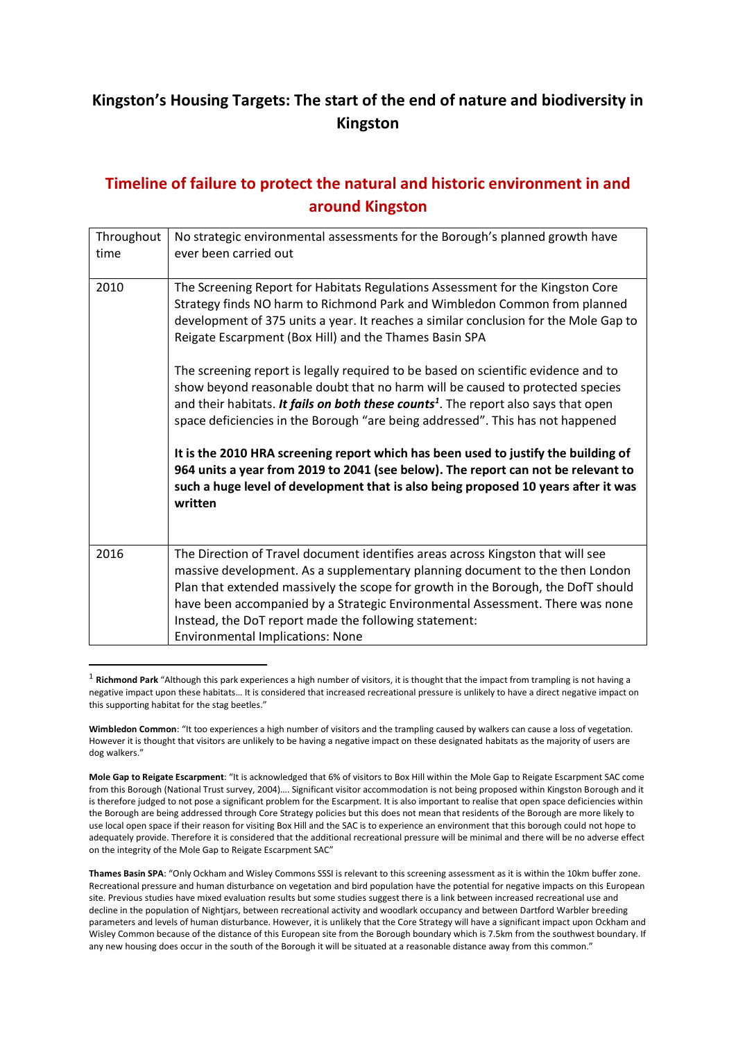## **Kingston's Housing Targets: The start of the end of nature and biodiversity in Kingston**

## **Timeline of failure to protect the natural and historic environment in and around Kingston**

| Throughout<br>time | No strategic environmental assessments for the Borough's planned growth have<br>ever been carried out                                                                                                                                                                                                                                                                                                                                     |
|--------------------|-------------------------------------------------------------------------------------------------------------------------------------------------------------------------------------------------------------------------------------------------------------------------------------------------------------------------------------------------------------------------------------------------------------------------------------------|
| 2010               | The Screening Report for Habitats Regulations Assessment for the Kingston Core<br>Strategy finds NO harm to Richmond Park and Wimbledon Common from planned<br>development of 375 units a year. It reaches a similar conclusion for the Mole Gap to<br>Reigate Escarpment (Box Hill) and the Thames Basin SPA                                                                                                                             |
|                    | The screening report is legally required to be based on scientific evidence and to<br>show beyond reasonable doubt that no harm will be caused to protected species<br>and their habitats. It fails on both these counts <sup>1</sup> . The report also says that open<br>space deficiencies in the Borough "are being addressed". This has not happened                                                                                  |
|                    | It is the 2010 HRA screening report which has been used to justify the building of<br>964 units a year from 2019 to 2041 (see below). The report can not be relevant to<br>such a huge level of development that is also being proposed 10 years after it was<br>written                                                                                                                                                                  |
| 2016               | The Direction of Travel document identifies areas across Kingston that will see<br>massive development. As a supplementary planning document to the then London<br>Plan that extended massively the scope for growth in the Borough, the DofT should<br>have been accompanied by a Strategic Environmental Assessment. There was none<br>Instead, the DoT report made the following statement:<br><b>Environmental Implications: None</b> |

<sup>&</sup>lt;sup>1</sup> Richmond Park "Although this park experiences a high number of visitors, it is thought that the impact from trampling is not having a negative impact upon these habitats… It is considered that increased recreational pressure is unlikely to have a direct negative impact on this supporting habitat for the stag beetles."

**Thames Basin SPA**: "Only Ockham and Wisley Commons SSSI is relevant to this screening assessment as it is within the 10km buffer zone. Recreational pressure and human disturbance on vegetation and bird population have the potential for negative impacts on this European site. Previous studies have mixed evaluation results but some studies suggest there is a link between increased recreational use and decline in the population of Nightjars, between recreational activity and woodlark occupancy and between Dartford Warbler breeding parameters and levels of human disturbance. However, it is unlikely that the Core Strategy will have a significant impact upon Ockham and Wisley Common because of the distance of this European site from the Borough boundary which is 7.5km from the southwest boundary. If any new housing does occur in the south of the Borough it will be situated at a reasonable distance away from this common."

**Wimbledon Common**: "It too experiences a high number of visitors and the trampling caused by walkers can cause a loss of vegetation. However it is thought that visitors are unlikely to be having a negative impact on these designated habitats as the majority of users are dog walkers."

**Mole Gap to Reigate Escarpment**: "It is acknowledged that 6% of visitors to Box Hill within the Mole Gap to Reigate Escarpment SAC come from this Borough (National Trust survey, 2004)…. Significant visitor accommodation is not being proposed within Kingston Borough and it is therefore judged to not pose a significant problem for the Escarpment. It is also important to realise that open space deficiencies within the Borough are being addressed through Core Strategy policies but this does not mean that residents of the Borough are more likely to use local open space if their reason for visiting Box Hill and the SAC is to experience an environment that this borough could not hope to adequately provide. Therefore it is considered that the additional recreational pressure will be minimal and there will be no adverse effect on the integrity of the Mole Gap to Reigate Escarpment SAC"